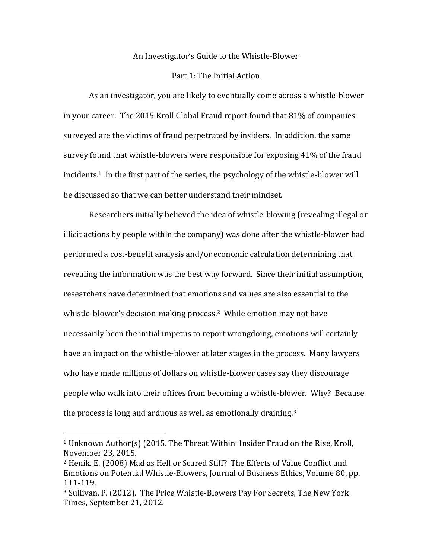## An Investigator's Guide to the Whistle-Blower

## Part 1: The Initial Action

As an investigator, you are likely to eventually come across a whistle-blower in your career. The 2015 Kroll Global Fraud report found that  $81\%$  of companies surveyed are the victims of fraud perpetrated by insiders. In addition, the same survey found that whistle-blowers were responsible for exposing 41% of the fraud incidents.<sup>1</sup> In the first part of the series, the psychology of the whistle-blower will be discussed so that we can better understand their mindset.

Researchers initially believed the idea of whistle-blowing (revealing illegal or illicit actions by people within the company) was done after the whistle-blower had performed a cost-benefit analysis and/or economic calculation determining that revealing the information was the best way forward. Since their initial assumption, researchers have determined that emotions and values are also essential to the whistle-blower's decision-making process.<sup>2</sup> While emotion may not have necessarily been the initial impetus to report wrongdoing, emotions will certainly have an impact on the whistle-blower at later stages in the process. Many lawyers who have made millions of dollars on whistle-blower cases say they discourage people who walk into their offices from becoming a whistle-blower. Why? Because the process is long and arduous as well as emotionally draining.<sup>3</sup>

 

<sup>&</sup>lt;sup>1</sup> Unknown Author(s) (2015. The Threat Within: Insider Fraud on the Rise, Kroll, November 23, 2015.

<sup>&</sup>lt;sup>2</sup> Henik, E. (2008) Mad as Hell or Scared Stiff? The Effects of Value Conflict and Emotions on Potential Whistle-Blowers, Journal of Business Ethics, Volume 80, pp. 111-119.

<sup>&</sup>lt;sup>3</sup> Sullivan, P. (2012). The Price Whistle-Blowers Pay For Secrets, The New York Times, September 21, 2012.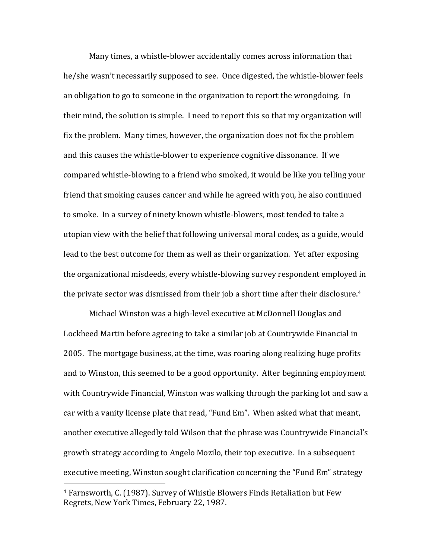Many times, a whistle-blower accidentally comes across information that he/she wasn't necessarily supposed to see. Once digested, the whistle-blower feels an obligation to go to someone in the organization to report the wrongdoing. In their mind, the solution is simple. I need to report this so that my organization will fix the problem. Many times, however, the organization does not fix the problem and this causes the whistle-blower to experience cognitive dissonance. If we compared whistle-blowing to a friend who smoked, it would be like you telling your friend that smoking causes cancer and while he agreed with you, he also continued to smoke. In a survey of ninety known whistle-blowers, most tended to take a utopian view with the belief that following universal moral codes, as a guide, would lead to the best outcome for them as well as their organization. Yet after exposing the organizational misdeeds, every whistle-blowing survey respondent employed in the private sector was dismissed from their job a short time after their disclosure.<sup>4</sup>

Michael Winston was a high-level executive at McDonnell Douglas and Lockheed Martin before agreeing to take a similar job at Countrywide Financial in 2005. The mortgage business, at the time, was roaring along realizing huge profits and to Winston, this seemed to be a good opportunity. After beginning employment with Countrywide Financial, Winston was walking through the parking lot and saw a car with a vanity license plate that read, "Fund Em". When asked what that meant, another executive allegedly told Wilson that the phrase was Countrywide Financial's growth strategy according to Angelo Mozilo, their top executive. In a subsequent executive meeting, Winston sought clarification concerning the "Fund Em" strategy

 

<sup>&</sup>lt;sup>4</sup> Farnsworth, C. (1987). Survey of Whistle Blowers Finds Retaliation but Few Regrets, New York Times, February 22, 1987.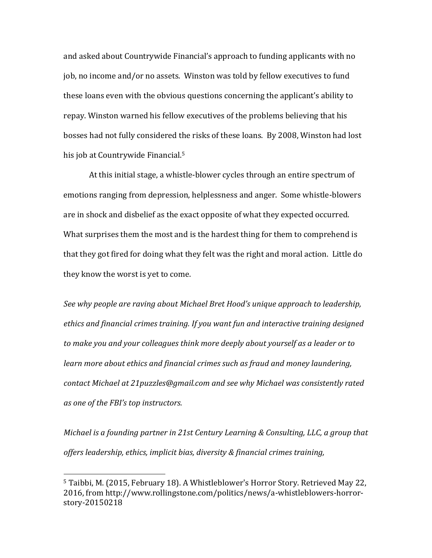and asked about Countrywide Financial's approach to funding applicants with no job, no income and/or no assets. Winston was told by fellow executives to fund these loans even with the obvious questions concerning the applicant's ability to repay. Winston warned his fellow executives of the problems believing that his bosses had not fully considered the risks of these loans. By 2008, Winston had lost his job at Countrywide Financial.<sup>5</sup>

At this initial stage, a whistle-blower cycles through an entire spectrum of emotions ranging from depression, helplessness and anger. Some whistle-blowers are in shock and disbelief as the exact opposite of what they expected occurred. What surprises them the most and is the hardest thing for them to comprehend is that they got fired for doing what they felt was the right and moral action. Little do they know the worst is yet to come.

See why people are raving about Michael Bret Hood's unique approach to leadership, *ethics* and *financial crimes training. If you want fun and interactive training designed* to make you and your colleagues think more deeply about yourself as a leader or to *learn* more about ethics and financial crimes such as fraud and money laundering, contact Michael at 21puzzles@gmail.com and see why Michael was consistently rated *as one of the FBI's top instructors.*

*Michael is a founding partner in 21st Century Learning & Consulting, LLC, a group that* offers leadership, ethics, *implicit bias, diversity & financial crimes training*,

 

<sup>&</sup>lt;sup>5</sup> Taibbi, M. (2015, February 18). A Whistleblower's Horror Story. Retrieved May 22, 2016, from http://www.rollingstone.com/politics/news/a-whistleblowers-horrorstory-20150218